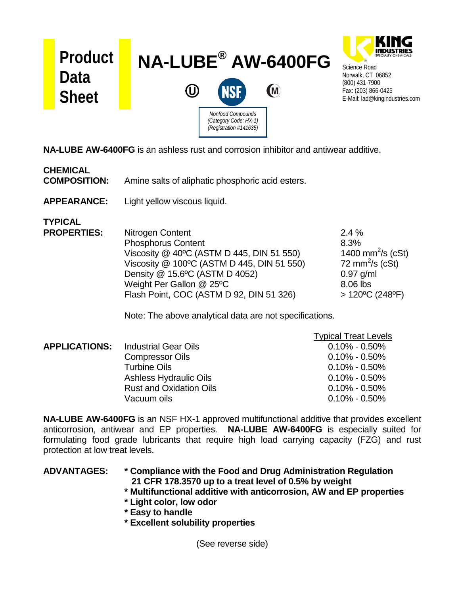

**NA-LUBE AW-6400FG** is an ashless rust and corrosion inhibitor and antiwear additive.

## **CHEMICAL COMPOSITION:** Amine salts of aliphatic phosphoric acid esters.

**APPEARANCE:** Light yellow viscous liquid.

**TYPICAL**

**PROPERTIES:** PROPERTIES: **PROPERTIES:** 2.4 % Phosphorus Content 6.3% Viscosity  $@$  40<sup>o</sup>C (ASTM D 445, DIN 51 550) 1400 mm<sup>2</sup>/s (cSt) Viscosity  $@$  100°C (ASTM D 445, DIN 51 550) 72 mm $^2$ /s (cSt) Density @ 15.6°C (ASTM D 4052) 0.97 g/ml Weight Per Gallon @ 25°C 8.06 lbs Flash Point, COC (ASTM D 92, DIN 51 326) > 120ºC (248ºF)

Note: The above analytical data are not specifications.

|                      |                                | <b>Typical Treat Levels</b> |
|----------------------|--------------------------------|-----------------------------|
| <b>APPLICATIONS:</b> | <b>Industrial Gear Oils</b>    | $0.10\% - 0.50\%$           |
|                      | <b>Compressor Oils</b>         | $0.10\%$ - 0.50%            |
|                      | <b>Turbine Oils</b>            | $0.10\%$ - 0.50%            |
|                      | <b>Ashless Hydraulic Oils</b>  | $0.10\% - 0.50\%$           |
|                      | <b>Rust and Oxidation Oils</b> | $0.10\%$ - 0.50%            |
|                      | Vacuum oils                    | $0.10\% - 0.50\%$           |

**NA-LUBE AW-6400FG** is an NSF HX-1 approved multifunctional additive that provides excellent anticorrosion, antiwear and EP properties. **NA-LUBE AW-6400FG** is especially suited for formulating food grade lubricants that require high load carrying capacity (FZG) and rust protection at low treat levels.

## **ADVANTAGES: \* Compliance with the Food and Drug Administration Regulation 21 CFR 178.3570 up to a treat level of 0.5% by weight**

- **\* Multifunctional additive with anticorrosion, AW and EP properties**
- **\* Light color, low odor**
- **\* Easy to handle**
- **\* Excellent solubility properties**

(See reverse side)